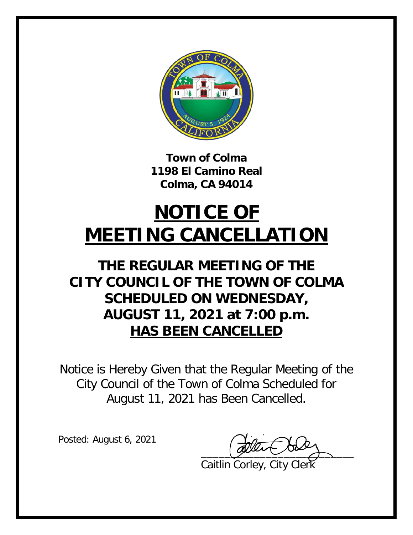

**Town of Colma 1198 El Camino Real Colma, CA 94014**

## **NOTICE OF MEETING CANCELLATION**

## **THE REGULAR MEETING OF THE CITY COUNCIL OF THE TOWN OF COLMA SCHEDULED ON WEDNESDAY, AUGUST 11, 2021 at 7:00 p.m. HAS BEEN CANCELLED**

Notice is Hereby Given that the Regular Meeting of the City Council of the Town of Colma Scheduled for August 11, 2021 has Been Cancelled.

Posted: August 6, 2021

 $\overline{\phantom{a}}$ 

Caitlin Corley, City Clerk